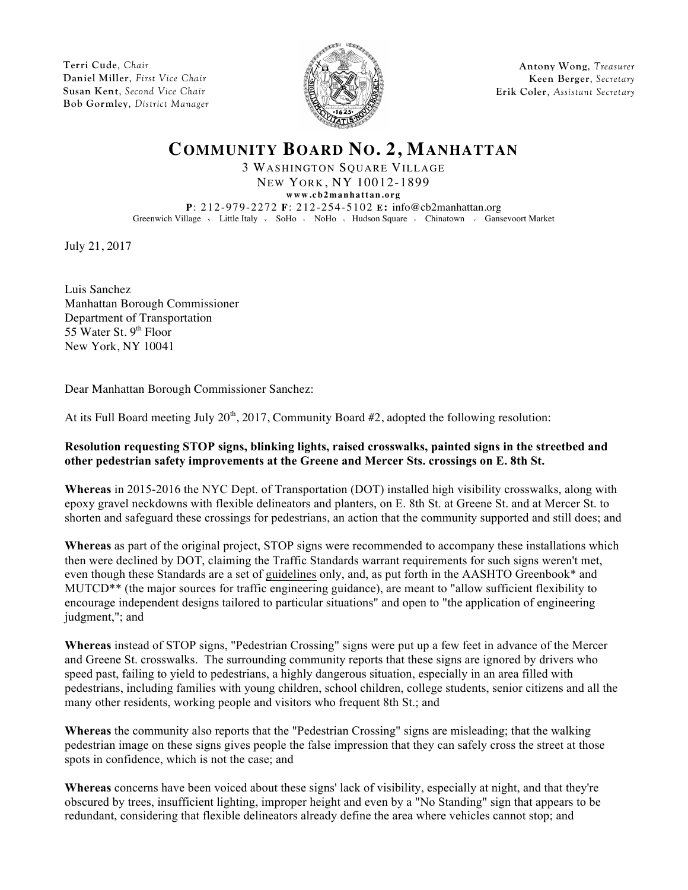**Terri Cude**, *Chair* **Daniel Miller**, *First Vice Chair* **Susan Kent**, *Second Vice Chair* **Bob Gormley**, *District Manager*



**Antony Wong**, *Treasurer* **Keen Berger**, *Secretary* **Erik Coler**, *Assistant Secretary*

## **COMMUNITY BOARD NO. 2, MANHATTAN**

3 WASHINGTON SQUARE VILLAGE NEW YORK, NY 10012-1899

**www.cb2manhattan.org P**: 212-979-2272 **F**: 212-254-5102 **E:** info@cb2manhattan.org

Greenwich Village v Little Italy v SoHo v NoHo v Hudson Square v Chinatown v Gansevoort Market

July 21, 2017

Luis Sanchez Manhattan Borough Commissioner Department of Transportation 55 Water St.  $9<sup>th</sup>$  Floor New York, NY 10041

Dear Manhattan Borough Commissioner Sanchez:

At its Full Board meeting July  $20<sup>th</sup>$ ,  $2017$ , Community Board #2, adopted the following resolution:

## **Resolution requesting STOP signs, blinking lights, raised crosswalks, painted signs in the streetbed and other pedestrian safety improvements at the Greene and Mercer Sts. crossings on E. 8th St.**

**Whereas** in 2015-2016 the NYC Dept. of Transportation (DOT) installed high visibility crosswalks, along with epoxy gravel neckdowns with flexible delineators and planters, on E. 8th St. at Greene St. and at Mercer St. to shorten and safeguard these crossings for pedestrians, an action that the community supported and still does; and

**Whereas** as part of the original project, STOP signs were recommended to accompany these installations which then were declined by DOT, claiming the Traffic Standards warrant requirements for such signs weren't met, even though these Standards are a set of guidelines only, and, as put forth in the AASHTO Greenbook\* and MUTCD\*\* (the major sources for traffic engineering guidance), are meant to "allow sufficient flexibility to encourage independent designs tailored to particular situations" and open to "the application of engineering judgment,"; and

**Whereas** instead of STOP signs, "Pedestrian Crossing" signs were put up a few feet in advance of the Mercer and Greene St. crosswalks. The surrounding community reports that these signs are ignored by drivers who speed past, failing to yield to pedestrians, a highly dangerous situation, especially in an area filled with pedestrians, including families with young children, school children, college students, senior citizens and all the many other residents, working people and visitors who frequent 8th St.; and

**Whereas** the community also reports that the "Pedestrian Crossing" signs are misleading; that the walking pedestrian image on these signs gives people the false impression that they can safely cross the street at those spots in confidence, which is not the case; and

**Whereas** concerns have been voiced about these signs' lack of visibility, especially at night, and that they're obscured by trees, insufficient lighting, improper height and even by a "No Standing" sign that appears to be redundant, considering that flexible delineators already define the area where vehicles cannot stop; and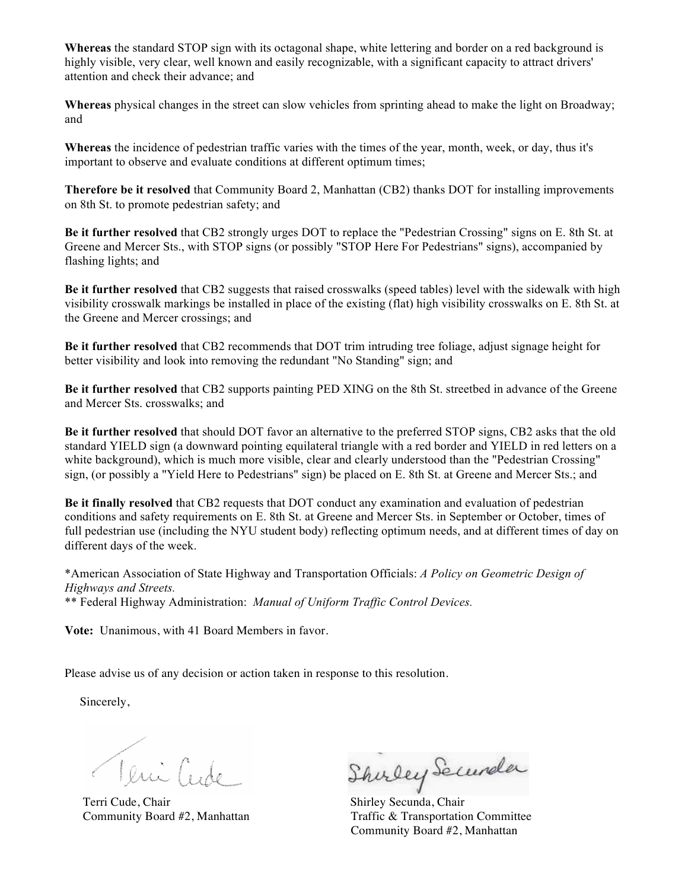**Whereas** the standard STOP sign with its octagonal shape, white lettering and border on a red background is highly visible, very clear, well known and easily recognizable, with a significant capacity to attract drivers' attention and check their advance; and

**Whereas** physical changes in the street can slow vehicles from sprinting ahead to make the light on Broadway; and

**Whereas** the incidence of pedestrian traffic varies with the times of the year, month, week, or day, thus it's important to observe and evaluate conditions at different optimum times;

**Therefore be it resolved** that Community Board 2, Manhattan (CB2) thanks DOT for installing improvements on 8th St. to promote pedestrian safety; and

**Be it further resolved** that CB2 strongly urges DOT to replace the "Pedestrian Crossing" signs on E. 8th St. at Greene and Mercer Sts., with STOP signs (or possibly "STOP Here For Pedestrians" signs), accompanied by flashing lights; and

**Be it further resolved** that CB2 suggests that raised crosswalks (speed tables) level with the sidewalk with high visibility crosswalk markings be installed in place of the existing (flat) high visibility crosswalks on E. 8th St. at the Greene and Mercer crossings; and

**Be it further resolved** that CB2 recommends that DOT trim intruding tree foliage, adjust signage height for better visibility and look into removing the redundant "No Standing" sign; and

**Be it further resolved** that CB2 supports painting PED XING on the 8th St. streetbed in advance of the Greene and Mercer Sts. crosswalks; and

**Be it further resolved** that should DOT favor an alternative to the preferred STOP signs, CB2 asks that the old standard YIELD sign (a downward pointing equilateral triangle with a red border and YIELD in red letters on a white background), which is much more visible, clear and clearly understood than the "Pedestrian Crossing" sign, (or possibly a "Yield Here to Pedestrians" sign) be placed on E. 8th St. at Greene and Mercer Sts.; and

**Be it finally resolved** that CB2 requests that DOT conduct any examination and evaluation of pedestrian conditions and safety requirements on E. 8th St. at Greene and Mercer Sts. in September or October, times of full pedestrian use (including the NYU student body) reflecting optimum needs, and at different times of day on different days of the week.

\*American Association of State Highway and Transportation Officials: *A Policy on Geometric Design of Highways and Streets.*

\*\* Federal Highway Administration: *Manual of Uniform Traffic Control Devices.*

**Vote:** Unanimous, with 41 Board Members in favor.

Please advise us of any decision or action taken in response to this resolution.

Sincerely,

Veuillet Shirley Secundar

Community Board #2, Manhattan Traffic & Transportation Committee Community Board #2, Manhattan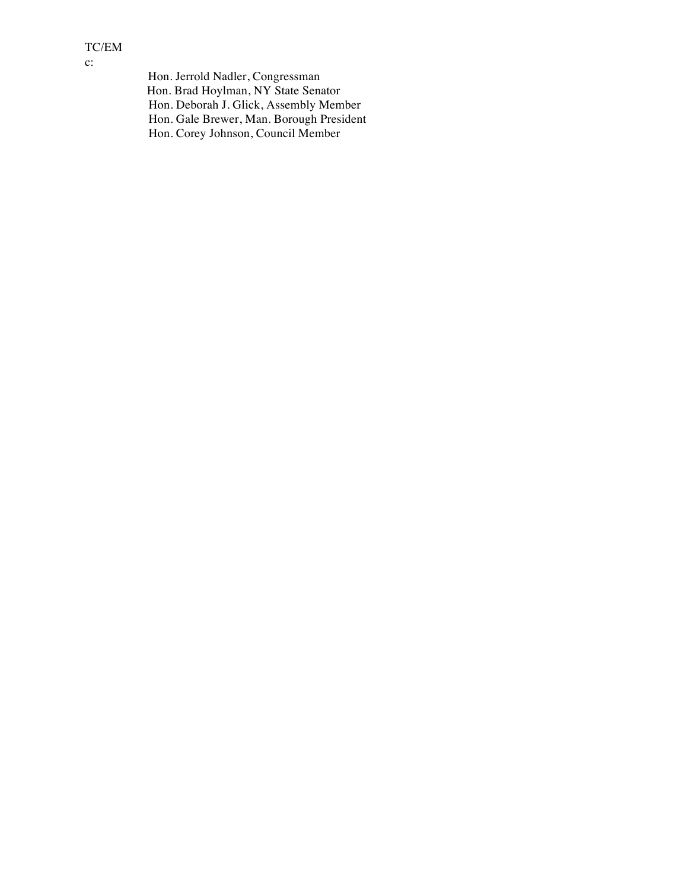## TC/EM c:

 Hon. Jerrold Nadler, Congressman Hon. Brad Hoylman, NY State Senator Hon. Deborah J. Glick, Assembly Member Hon. Gale Brewer, Man. Borough President Hon. Corey Johnson, Council Member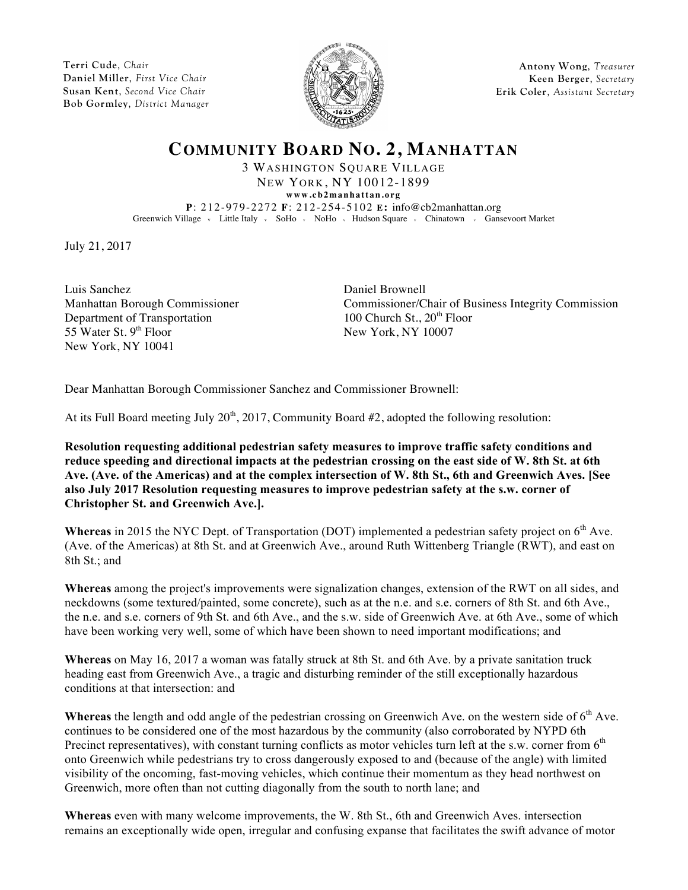**Terri Cude**, *Chair* **Daniel Miller**, *First Vice Chair* **Susan Kent**, *Second Vice Chair* **Bob Gormley**, *District Manager*



**Antony Wong**, *Treasurer* **Keen Berger**, *Secretary* **Erik Coler**, *Assistant Secretary*

**COMMUNITY BOARD NO. 2, MANHATTAN**

3 WASHINGTON SQUARE VILLAGE NEW YORK, NY 10012-1899

**www.cb2manhattan.org P**: 212-979-2272 **F**: 212-254-5102 **E:** info@cb2manhattan.org Greenwich Village v Little Italy v SoHo v NoHo v Hudson Square v Chinatown v Gansevoort Market

July 21, 2017

Luis Sanchez Daniel Brownell Department of Transportation 100 Church St.,  $20<sup>th</sup>$  Floor 55 Water St.  $9<sup>th</sup>$  Floor New York, NY 10007 New York, NY 10041

Manhattan Borough Commissioner Commissioner/Chair of Business Integrity Commission

Dear Manhattan Borough Commissioner Sanchez and Commissioner Brownell:

At its Full Board meeting July  $20<sup>th</sup>$ ,  $2017$ , Community Board #2, adopted the following resolution:

**Resolution requesting additional pedestrian safety measures to improve traffic safety conditions and reduce speeding and directional impacts at the pedestrian crossing on the east side of W. 8th St. at 6th Ave. (Ave. of the Americas) and at the complex intersection of W. 8th St., 6th and Greenwich Aves. [See also July 2017 Resolution requesting measures to improve pedestrian safety at the s.w. corner of Christopher St. and Greenwich Ave.].**

**Whereas** in 2015 the NYC Dept. of Transportation (DOT) implemented a pedestrian safety project on 6<sup>th</sup> Ave. (Ave. of the Americas) at 8th St. and at Greenwich Ave., around Ruth Wittenberg Triangle (RWT), and east on 8th St.; and

**Whereas** among the project's improvements were signalization changes, extension of the RWT on all sides, and neckdowns (some textured/painted, some concrete), such as at the n.e. and s.e. corners of 8th St. and 6th Ave., the n.e. and s.e. corners of 9th St. and 6th Ave., and the s.w. side of Greenwich Ave. at 6th Ave., some of which have been working very well, some of which have been shown to need important modifications; and

**Whereas** on May 16, 2017 a woman was fatally struck at 8th St. and 6th Ave. by a private sanitation truck heading east from Greenwich Ave., a tragic and disturbing reminder of the still exceptionally hazardous conditions at that intersection: and

Whereas the length and odd angle of the pedestrian crossing on Greenwich Ave. on the western side of 6<sup>th</sup> Ave. continues to be considered one of the most hazardous by the community (also corroborated by NYPD 6th Precinct representatives), with constant turning conflicts as motor vehicles turn left at the s.w. corner from  $6<sup>th</sup>$ onto Greenwich while pedestrians try to cross dangerously exposed to and (because of the angle) with limited visibility of the oncoming, fast-moving vehicles, which continue their momentum as they head northwest on Greenwich, more often than not cutting diagonally from the south to north lane; and

**Whereas** even with many welcome improvements, the W. 8th St., 6th and Greenwich Aves. intersection remains an exceptionally wide open, irregular and confusing expanse that facilitates the swift advance of motor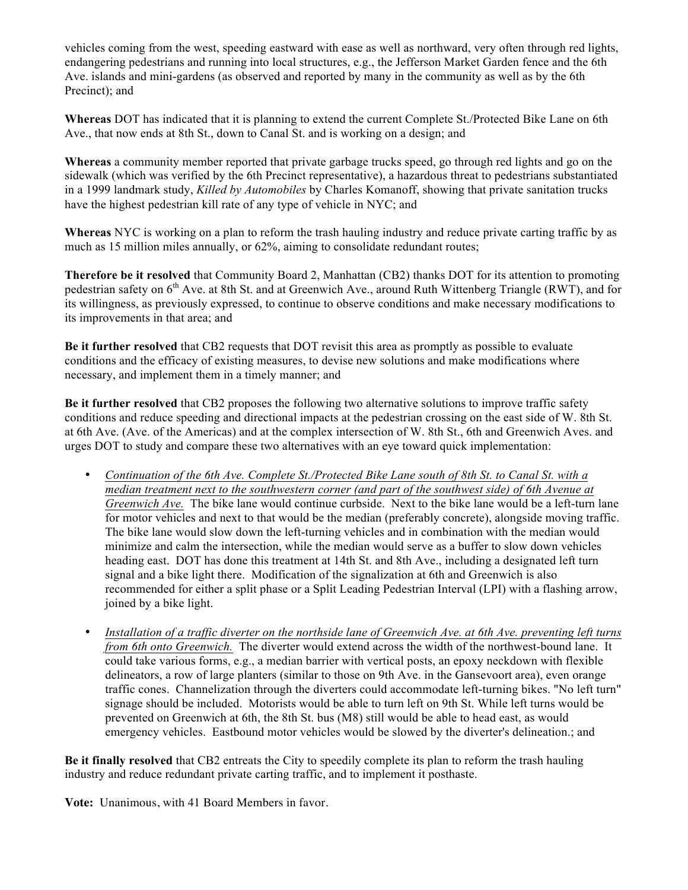vehicles coming from the west, speeding eastward with ease as well as northward, very often through red lights, endangering pedestrians and running into local structures, e.g., the Jefferson Market Garden fence and the 6th Ave. islands and mini-gardens (as observed and reported by many in the community as well as by the 6th Precinct); and

**Whereas** DOT has indicated that it is planning to extend the current Complete St./Protected Bike Lane on 6th Ave., that now ends at 8th St., down to Canal St. and is working on a design; and

**Whereas** a community member reported that private garbage trucks speed, go through red lights and go on the sidewalk (which was verified by the 6th Precinct representative), a hazardous threat to pedestrians substantiated in a 1999 landmark study, *Killed by Automobiles* by Charles Komanoff, showing that private sanitation trucks have the highest pedestrian kill rate of any type of vehicle in NYC; and

**Whereas** NYC is working on a plan to reform the trash hauling industry and reduce private carting traffic by as much as 15 million miles annually, or 62%, aiming to consolidate redundant routes;

**Therefore be it resolved** that Community Board 2, Manhattan (CB2) thanks DOT for its attention to promoting pedestrian safety on 6<sup>th</sup> Ave. at 8th St. and at Greenwich Ave., around Ruth Wittenberg Triangle (RWT), and for its willingness, as previously expressed, to continue to observe conditions and make necessary modifications to its improvements in that area; and

**Be it further resolved** that CB2 requests that DOT revisit this area as promptly as possible to evaluate conditions and the efficacy of existing measures, to devise new solutions and make modifications where necessary, and implement them in a timely manner; and

**Be it further resolved** that CB2 proposes the following two alternative solutions to improve traffic safety conditions and reduce speeding and directional impacts at the pedestrian crossing on the east side of W. 8th St. at 6th Ave. (Ave. of the Americas) and at the complex intersection of W. 8th St., 6th and Greenwich Aves. and urges DOT to study and compare these two alternatives with an eye toward quick implementation:

- *Continuation of the 6th Ave. Complete St./Protected Bike Lane south of 8th St. to Canal St. with a median treatment next to the southwestern corner (and part of the southwest side) of 6th Avenue at Greenwich Ave.* The bike lane would continue curbside. Next to the bike lane would be a left-turn lane for motor vehicles and next to that would be the median (preferably concrete), alongside moving traffic. The bike lane would slow down the left-turning vehicles and in combination with the median would minimize and calm the intersection, while the median would serve as a buffer to slow down vehicles heading east. DOT has done this treatment at 14th St. and 8th Ave., including a designated left turn signal and a bike light there. Modification of the signalization at 6th and Greenwich is also recommended for either a split phase or a Split Leading Pedestrian Interval (LPI) with a flashing arrow, joined by a bike light.
- *Installation of a traffic diverter on the northside lane of Greenwich Ave. at 6th Ave. preventing left turns from 6th onto Greenwich.* The diverter would extend across the width of the northwest-bound lane. It could take various forms, e.g., a median barrier with vertical posts, an epoxy neckdown with flexible delineators, a row of large planters (similar to those on 9th Ave. in the Gansevoort area), even orange traffic cones. Channelization through the diverters could accommodate left-turning bikes. "No left turn" signage should be included. Motorists would be able to turn left on 9th St. While left turns would be prevented on Greenwich at 6th, the 8th St. bus (M8) still would be able to head east, as would emergency vehicles. Eastbound motor vehicles would be slowed by the diverter's delineation.; and

**Be it finally resolved** that CB2 entreats the City to speedily complete its plan to reform the trash hauling industry and reduce redundant private carting traffic, and to implement it posthaste.

**Vote:** Unanimous, with 41 Board Members in favor.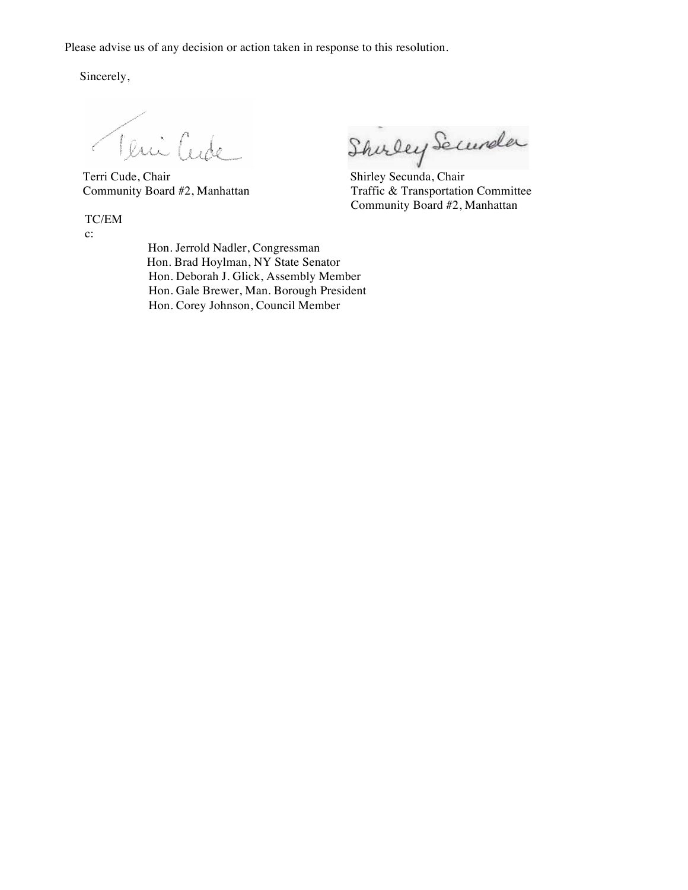Please advise us of any decision or action taken in response to this resolution.

Sincerely,

Teni Cude

TC/EM

c:

Veuillet Shirley Securela

Community Board #2, Manhattan Traffic & Transportation Committee Community Board #2, Manhattan

 Hon. Jerrold Nadler, Congressman Hon. Brad Hoylman, NY State Senator Hon. Deborah J. Glick, Assembly Member Hon. Gale Brewer, Man. Borough President Hon. Corey Johnson, Council Member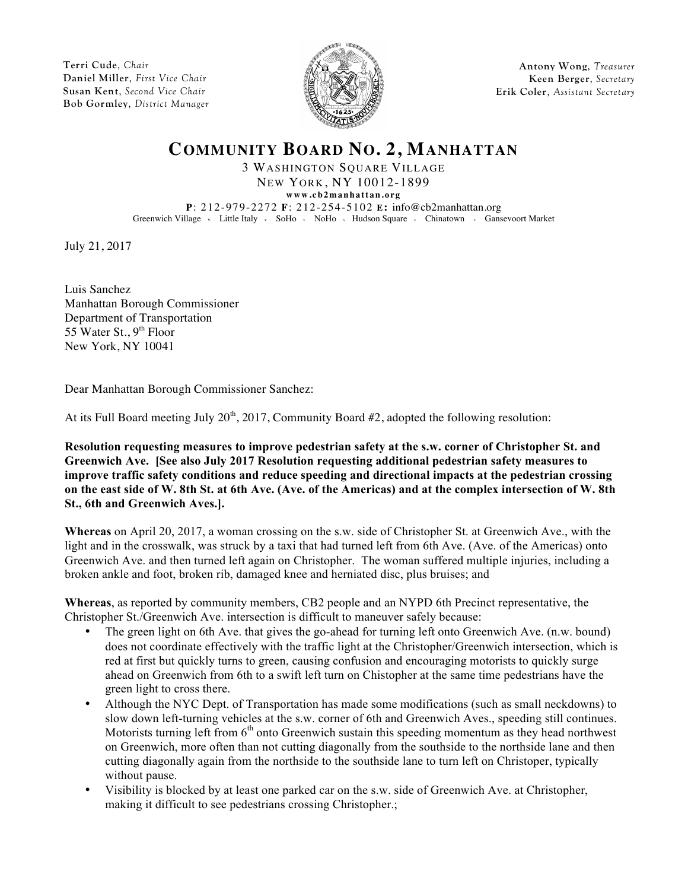**Terri Cude**, *Chair* **Daniel Miller**, *First Vice Chair* **Susan Kent**, *Second Vice Chair* **Bob Gormley**, *District Manager*



**Antony Wong**, *Treasurer* **Keen Berger**, *Secretary* **Erik Coler**, *Assistant Secretary*

## **COMMUNITY BOARD NO. 2, MANHATTAN**

3 WASHINGTON SQUARE VILLAGE NEW YORK, NY 10012-1899

**www.cb2manhattan.org**

**P**: 212-979-2272 **F**: 212-254-5102 **E:** info@cb2manhattan.org Greenwich Village v Little Italy v SoHo v NoHo v Hudson Square v Chinatown v Gansevoort Market

July 21, 2017

Luis Sanchez Manhattan Borough Commissioner Department of Transportation 55 Water St.,  $9<sup>th</sup>$  Floor New York, NY 10041

Dear Manhattan Borough Commissioner Sanchez:

At its Full Board meeting July  $20<sup>th</sup>$ ,  $2017$ , Community Board #2, adopted the following resolution:

**Resolution requesting measures to improve pedestrian safety at the s.w. corner of Christopher St. and Greenwich Ave. [See also July 2017 Resolution requesting additional pedestrian safety measures to improve traffic safety conditions and reduce speeding and directional impacts at the pedestrian crossing on the east side of W. 8th St. at 6th Ave. (Ave. of the Americas) and at the complex intersection of W. 8th St., 6th and Greenwich Aves.].**

**Whereas** on April 20, 2017, a woman crossing on the s.w. side of Christopher St. at Greenwich Ave., with the light and in the crosswalk, was struck by a taxi that had turned left from 6th Ave. (Ave. of the Americas) onto Greenwich Ave. and then turned left again on Christopher. The woman suffered multiple injuries, including a broken ankle and foot, broken rib, damaged knee and herniated disc, plus bruises; and

**Whereas**, as reported by community members, CB2 people and an NYPD 6th Precinct representative, the Christopher St./Greenwich Ave. intersection is difficult to maneuver safely because:

- The green light on 6th Ave. that gives the go-ahead for turning left onto Greenwich Ave. (n.w. bound) does not coordinate effectively with the traffic light at the Christopher/Greenwich intersection, which is red at first but quickly turns to green, causing confusion and encouraging motorists to quickly surge ahead on Greenwich from 6th to a swift left turn on Chistopher at the same time pedestrians have the green light to cross there.
- Although the NYC Dept. of Transportation has made some modifications (such as small neckdowns) to slow down left-turning vehicles at the s.w. corner of 6th and Greenwich Aves., speeding still continues. Motorists turning left from  $6<sup>th</sup>$  onto Greenwich sustain this speeding momentum as they head northwest on Greenwich, more often than not cutting diagonally from the southside to the northside lane and then cutting diagonally again from the northside to the southside lane to turn left on Christoper, typically without pause.
- Visibility is blocked by at least one parked car on the s.w. side of Greenwich Ave. at Christopher, making it difficult to see pedestrians crossing Christopher.;